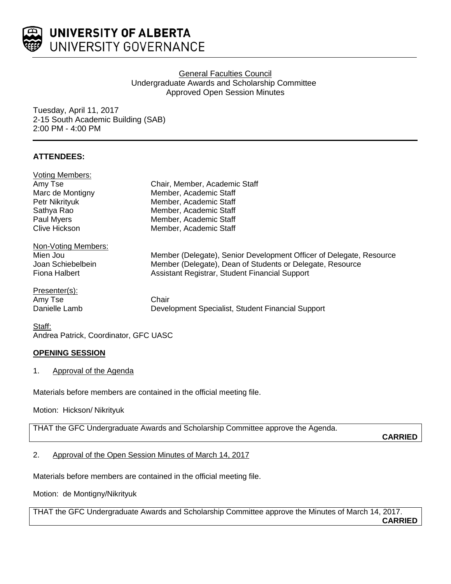

# General Faculties Council Undergraduate Awards and Scholarship Committee Approved Open Session Minutes

Tuesday, April 11, 2017 2-15 South Academic Building (SAB) 2:00 PM - 4:00 PM

# **ATTENDEES:**

| <b>Voting Members:</b> |                                                                     |
|------------------------|---------------------------------------------------------------------|
| Amy Tse                | Chair, Member, Academic Staff                                       |
| Marc de Montigny       | Member, Academic Staff                                              |
| Petr Nikrityuk         | Member, Academic Staff                                              |
| Sathya Rao             | Member, Academic Staff                                              |
| Paul Myers             | Member, Academic Staff                                              |
| <b>Clive Hickson</b>   | Member, Academic Staff                                              |
| Non-Voting Members:    |                                                                     |
| Mien Jou               | Member (Delegate), Senior Development Officer of Delegate, Resource |
| Joan Schiebelbein      | Member (Delegate), Dean of Students or Delegate, Resource           |
| Fiona Halbert          | Assistant Registrar, Student Financial Support                      |
| Presenter(s):          |                                                                     |
| Amy Tse                | Chair                                                               |
| Danielle Lamb          | Development Specialist, Student Financial Support                   |
| $C + 64$               |                                                                     |

<u>Staff:</u> Andrea Patrick, Coordinator, GFC UASC

## **OPENING SESSION**

1. Approval of the Agenda

Materials before members are contained in the official meeting file.

Motion: Hickson/ Nikrityuk

THAT the GFC Undergraduate Awards and Scholarship Committee approve the Agenda.

**CARRIED**

# 2. Approval of the Open Session Minutes of March 14, 2017

Materials before members are contained in the official meeting file.

Motion: de Montigny/Nikrityuk

THAT the GFC Undergraduate Awards and Scholarship Committee approve the Minutes of March 14, 2017. **CARRIED**